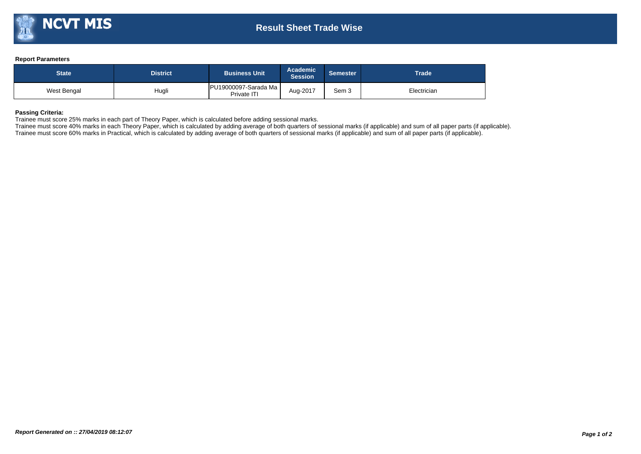## **Report Parameters**

| <b>State</b> | District <b>\</b> | <b>Academic</b><br><b>Business Unit</b><br><b>Session</b> |          | <b>Semester</b> | <b>Trade</b> |  |  |
|--------------|-------------------|-----------------------------------------------------------|----------|-----------------|--------------|--|--|
| West Bengal  | Hugli             | PU19000097-Sarada Ma<br>Private ITI                       | Aug-2017 | Sem 3           | Electrician  |  |  |

## **Passing Criteria:**

Trainee must score 25% marks in each part of Theory Paper, which is calculated before adding sessional marks.

Trainee must score 40% marks in each Theory Paper, which is calculated by adding average of both quarters of sessional marks (if applicable) and sum of all paper parts (if applicable). Trainee must score 60% marks in Practical, which is calculated by adding average of both quarters of sessional marks (if applicable) and sum of all paper parts (if applicable).